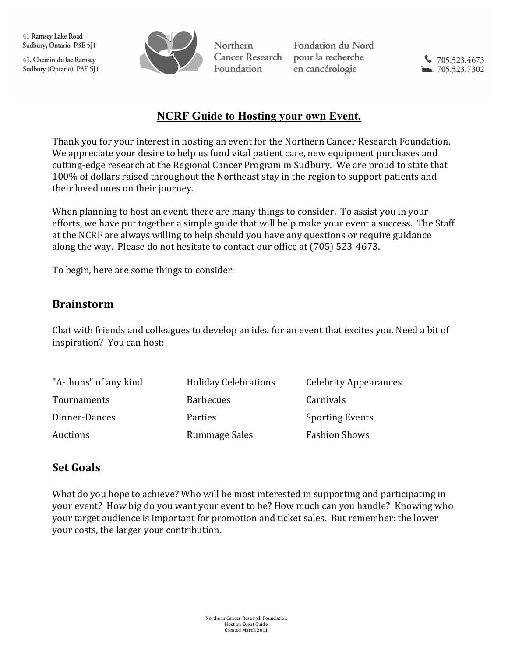41, Chemin du lac Ramsey Sudbury (Ontario) P3E 5J1



Northern **Cancer Research Foundation** 

**Fondation du Nord** pour la recherche en cancérologie

 $\sqrt{705.523.4673}$  $-705.523.7302$ 

## **NCRF Guide to Hosting your own Event.**

Thank you for your interest in hosting an event for the Northern Cancer Research Foundation. We appreciate your desire to help us fund vital patient care, new equipment purchases and cutting-edge research at the Regional Cancer Program in Sudbury. We are proud to state that 100% of dollars raised throughout the Northeast stay in the region to support patients and their loved ones on their journey.

When planning to host an event, there are many things to consider. To assist you in your efforts, we have put together a simple guide that will help make your event a success. The Staff at the NCRF are always willing to help should you have any questions or require guidance along the way. Please do not hesitate to contact our office at (705) 523-4673.

To begin, here are some things to consider:

#### **Brainstorm**

Chat with friends and colleagues to develop an idea for an event that excites you. Need a bit of inspiration? You can host:

| "A-thons" of any kind | <b>Holiday Celebrations</b> | <b>Celebrity Appearances</b> |
|-----------------------|-----------------------------|------------------------------|
| Tournaments           | <b>Barbecues</b>            | Carnivals                    |
| Dinner-Dances         | Parties                     | <b>Sporting Events</b>       |
| Auctions              | Rummage Sales               | <b>Fashion Shows</b>         |

#### **Set Goals**

What do you hope to achieve? Who will be most interested in supporting and participating in your event? How big do you want your event to be? How much can you handle? Knowing who your target audience is important for promotion and ticket sales. But remember: the lower your costs, the larger your contribution.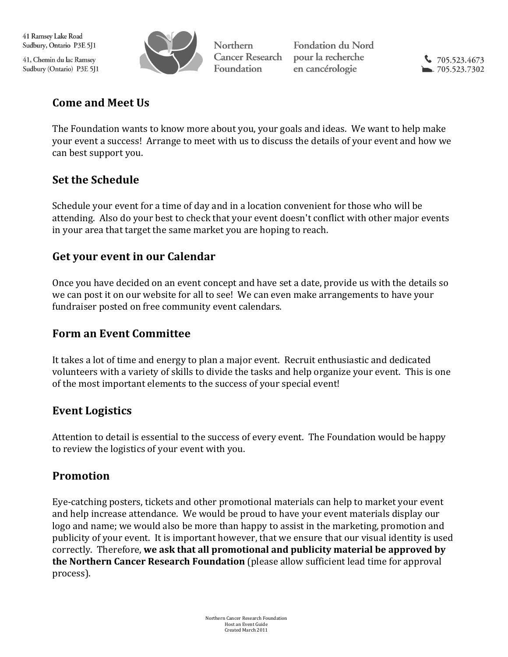41, Chemin du lac Ramsey Sudbury (Ontario) P3E 5J1



Northern **Cancer Research Foundation** 

**Fondation du Nord** pour la recherche en cancérologie

 $\sqrt{705.523.4673}$  $-705.523.7302$ 

## **Come and Meet Us**

The Foundation wants to know more about you, your goals and ideas. We want to help make your event a success! Arrange to meet with us to discuss the details of your event and how we can best support you.

# **Set the Schedule**

Schedule your event for a time of day and in a location convenient for those who will be attending. Also do your best to check that your event doesn't conflict with other major events in your area that target the same market you are hoping to reach.

### **Get your event in our Calendar**

Once you have decided on an event concept and have set a date, provide us with the details so we can post it on our website for all to see! We can even make arrangements to have your fundraiser posted on free community event calendars.

#### **Form an Event Committee**

It takes a lot of time and energy to plan a major event. Recruit enthusiastic and dedicated volunteers with a variety of skills to divide the tasks and help organize your event. This is one of the most important elements to the success of your special event!

## **Event Logistics**

Attention to detail is essential to the success of every event. The Foundation would be happy to review the logistics of your event with you.

## **Promotion**

Eye-catching posters, tickets and other promotional materials can help to market your event and help increase attendance. We would be proud to have your event materials display our logo and name; we would also be more than happy to assist in the marketing, promotion and publicity of your event. It is important however, that we ensure that our visual identity is used correctly. Therefore, we ask that all promotional and publicity material be approved by **the Northern Cancer Research Foundation** (please allow sufficient lead time for approval process).